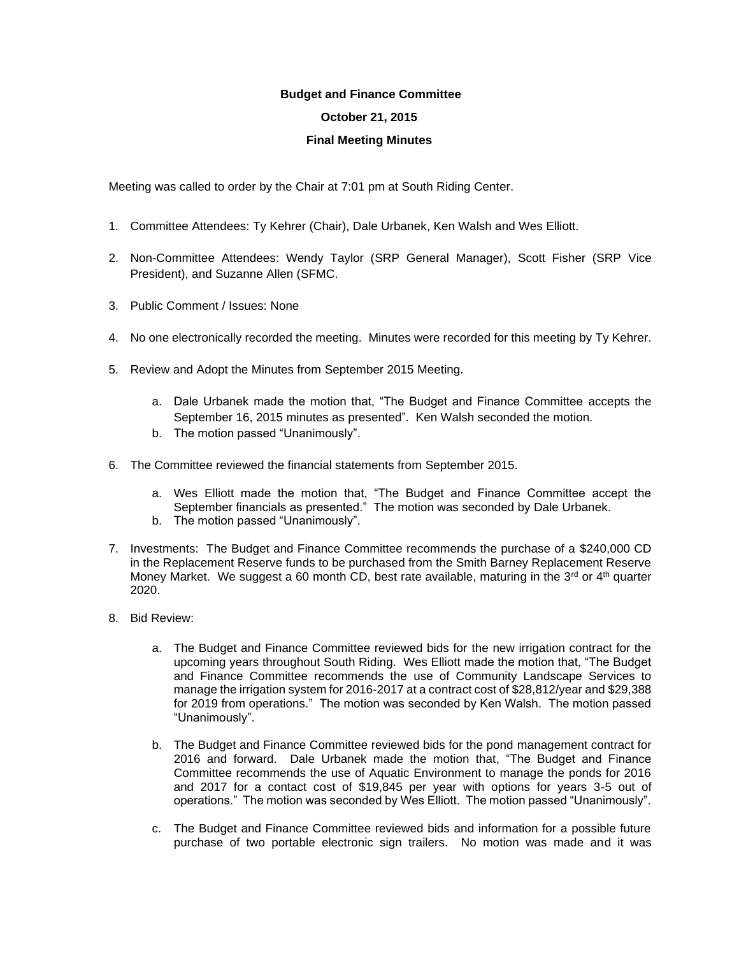## **Budget and Finance Committee**

## **October 21, 2015**

## **Final Meeting Minutes**

Meeting was called to order by the Chair at 7:01 pm at South Riding Center.

- 1. Committee Attendees: Ty Kehrer (Chair), Dale Urbanek, Ken Walsh and Wes Elliott.
- 2. Non-Committee Attendees: Wendy Taylor (SRP General Manager), Scott Fisher (SRP Vice President), and Suzanne Allen (SFMC.
- 3. Public Comment / Issues: None
- 4. No one electronically recorded the meeting. Minutes were recorded for this meeting by Ty Kehrer.
- 5. Review and Adopt the Minutes from September 2015 Meeting.
	- a. Dale Urbanek made the motion that, "The Budget and Finance Committee accepts the September 16, 2015 minutes as presented". Ken Walsh seconded the motion.
	- b. The motion passed "Unanimously".
- 6. The Committee reviewed the financial statements from September 2015.
	- a. Wes Elliott made the motion that, "The Budget and Finance Committee accept the September financials as presented." The motion was seconded by Dale Urbanek.
	- b. The motion passed "Unanimously".
- 7. Investments: The Budget and Finance Committee recommends the purchase of a \$240,000 CD in the Replacement Reserve funds to be purchased from the Smith Barney Replacement Reserve Money Market. We suggest a 60 month CD, best rate available, maturing in the  $3<sup>rd</sup>$  or  $4<sup>th</sup>$  quarter 2020.
- 8. Bid Review:
	- a. The Budget and Finance Committee reviewed bids for the new irrigation contract for the upcoming years throughout South Riding. Wes Elliott made the motion that, "The Budget and Finance Committee recommends the use of Community Landscape Services to manage the irrigation system for 2016-2017 at a contract cost of \$28,812/year and \$29,388 for 2019 from operations." The motion was seconded by Ken Walsh. The motion passed "Unanimously".
	- b. The Budget and Finance Committee reviewed bids for the pond management contract for 2016 and forward. Dale Urbanek made the motion that, "The Budget and Finance Committee recommends the use of Aquatic Environment to manage the ponds for 2016 and 2017 for a contact cost of \$19,845 per year with options for years 3-5 out of operations." The motion was seconded by Wes Elliott. The motion passed "Unanimously".
	- c. The Budget and Finance Committee reviewed bids and information for a possible future purchase of two portable electronic sign trailers. No motion was made and it was